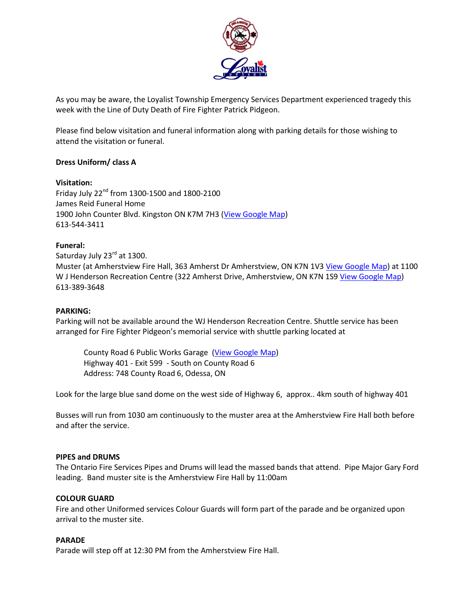

As you may be aware, the Loyalist Township Emergency Services Department experienced tragedy this week with the Line of Duty Death of Fire Fighter Patrick Pidgeon.

Please find below visitation and funeral information along with parking details for those wishing to attend the visitation or funeral.

# **Dress Uniform/ class A**

#### **Visitation:**

Friday July  $22^{nd}$  from 1300-1500 and 1800-2100 James Reid Funeral Home 1900 John Counter Blvd. Kingston ON K7M 7H3 (View [Google Map\)](https://goo.gl/maps/fZmxzqjyXfQ2) 613-544-3411

#### **Funeral:**

Saturday July 23<sup>rd</sup> at 1300. Muster (at Amherstview Fire Hall, 363 Amherst Dr Amherstview, ON K7N 1V3 [View Google Map\)](http://maps.google.ca/maps?hl=en&q=363%20Amherst%20Dr,%20Amherstview,%20ON%20Canada) at 1100 W J Henderson Recreation Centre (322 Amherst Drive, Amherstview, ON K7N 1S9 [View Google Map\)](http://maps.google.ca/maps?hl=en&q=322%20Amherst%20Dr,%20Amherstview,%20ON%20Canada) 613-389-3648

## **PARKING:**

Parking will not be available around the WJ Henderson Recreation Centre. Shuttle service has been arranged for Fire Fighter Pidgeon's memorial service with shuttle parking located at

County Road 6 Public Works Garage [\(View Google Map\)](https://goo.gl/maps/8iciEihj1Zq) Highway 401 - Exit 599 - South on County Road 6 Address: 748 County Road 6, Odessa, ON

Look for the large blue sand dome on the west side of Highway 6, approx.. 4km south of highway 401

Busses will run from 1030 am continuously to the muster area at the Amherstview Fire Hall both before and after the service.

# **PIPES and DRUMS**

The Ontario Fire Services Pipes and Drums will lead the massed bands that attend. Pipe Major Gary Ford leading. Band muster site is the Amherstview Fire Hall by 11:00am

# **COLOUR GUARD**

Fire and other Uniformed services Colour Guards will form part of the parade and be organized upon arrival to the muster site.

# **PARADE**

Parade will step off at 12:30 PM from the Amherstview Fire Hall.